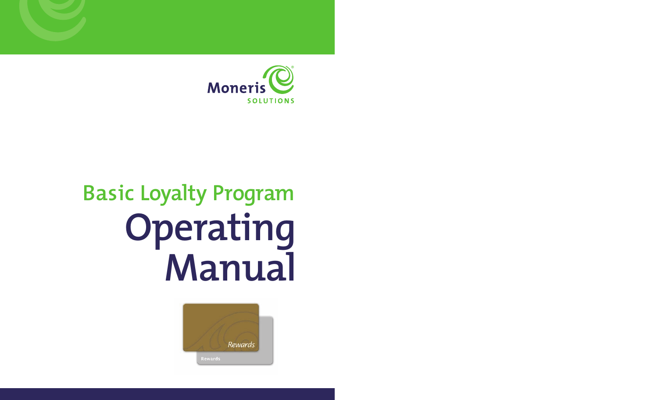

# **Basic Loyalty Program Operating Manual**

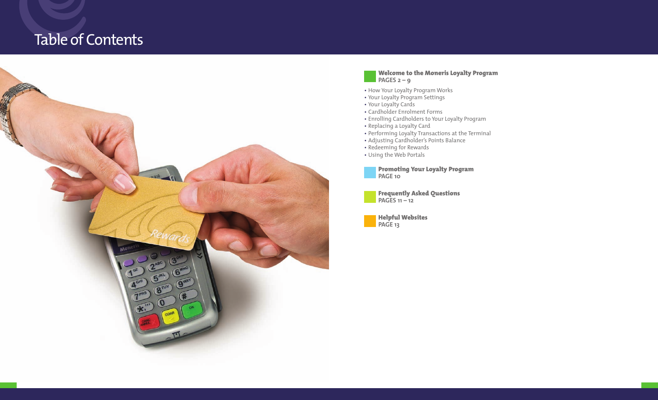## Table of Contents



#### **Welcome to the Moneris Loyalty Program PAGES 2 – 9**

- How Your Loyalty Program Works
- Your Loyalty Program Settings
- Your Loyalty Cards
- Cardholder Enrolment Forms
- Enrolling Cardholders to Your Loyalty Program
- Replacing a Loyalty Card
- Performing Loyalty Transactions at the Terminal
- Adjusting Cardholder's Points Balance
- Redeeming for Rewards
- Using the Web Portals

**Promoting Your Loyalty Program PAGE 10**

**Frequently Asked Questions PAGES 11 – 12**

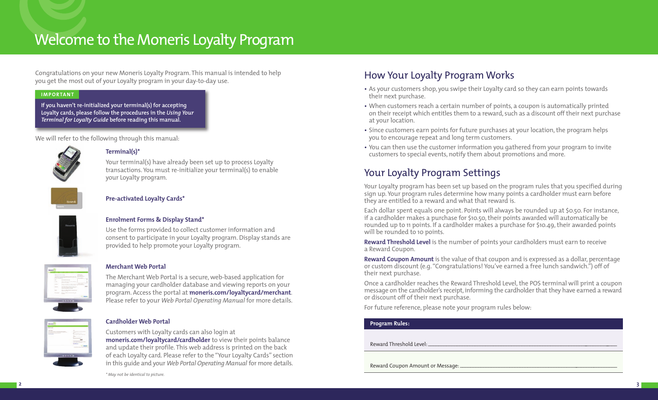## Welcome to the Moneris Loyalty Program

Congratulations on your new Moneris Loyalty Program. This manual is intended to help you get the most out of your Loyalty program in your day-to-day use.

#### **IMPORTANT**

**If you haven't re-initialized your terminal(s) for accepting Loyalty cards, please follow the procedures in the** *Using Your Terminal for Loyalty Guide* **before reading this manual.** 

We will refer to the following through this manual:



#### **Terminal(s)\***

Your terminal(s) have already been set up to process Loyalty transactions. You must re-initialize your terminal(s) to enable your Loyalty program.



#### **Pre-activated Loyalty Cards\***

#### **Enrolment Forms & Display Stand\***

Use the forms provided to collect customer information and consent to participate in your Loyalty program. Display stands are provided to help promote your Loyalty program.

## **Merchant Web Portal**

The Merchant Web Portal is a secure, web-based application for managing your cardholder database and viewing reports on your program. Access the portal at **moneris.com/loyaltycard/merchant**. Please refer to your *Web Portal Operating Manual* for more details.



#### **Cardholder Web Portal**

Customers with Loyalty cards can also login at **moneris.com/loyaltycard/cardholder** to view their points balance and update their profile. This web address is printed on the back of each Loyalty card. Please refer to the "Your Loyalty Cards" section in this guide and your *Web Portal Operating Manual* for more details.

*\* May not be identical to picture.* 

## How Your Loyalty Program Works

- As your customers shop, you swipe their Loyalty card so they can earn points towards their next purchase.
- When customers reach a certain number of points, a coupon is automatically printed on their receipt which entitles them to a reward, such as a discount off their next purchase at your location.
- Since customers earn points for future purchases at your location, the program helps you to encourage repeat and long term customers.
- You can then use the customer information you gathered from your program to invite customers to special events, notify them about promotions and more.

## Your Loyalty Program Settings

Your Loyalty program has been set up based on the program rules that you specified during sign up. Your program rules determine how many points a cardholder must earn before they are entitled to a reward and what that reward is.

Each dollar spent equals one point. Points will always be rounded up at \$0.50. For instance, if a cardholder makes a purchase for \$10.50, their points awarded will automatically be rounded up to 11 points. If a cardholder makes a purchase for \$10.49, their awarded points will be rounded to 10 points.

**Reward Threshold Level** is the number of points your cardholders must earn to receive a Reward Coupon.

**Reward Coupon Amount** is the value of that coupon and is expressed as a dollar, percentage or custom discount (e.g. "Congratulations! You've earned a free lunch sandwich.") off of their next purchase.

Once a cardholder reaches the Reward Threshold Level, the POS terminal will print a coupon message on the cardholder's receipt, informing the cardholder that they have earned a reward or discount off of their next purchase.

For future reference, please note your program rules below:

#### **Program Rules:**

Reward Threshold Level:

Reward Coupon Amount or Message: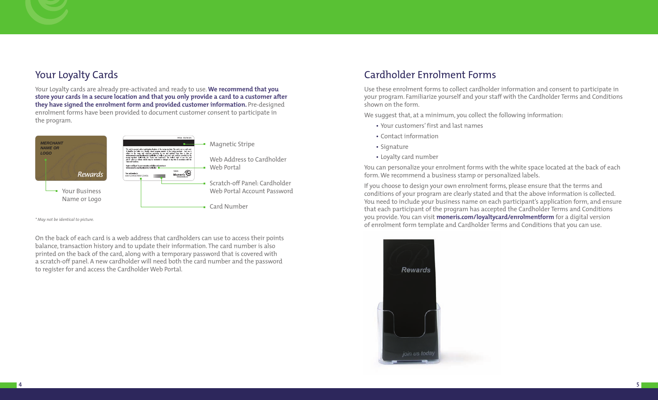## Your Loyalty Cards

Your Loyalty cards are already pre-activated and ready to use. **We recommend that you store your cards in a secure location and that you only provide a card to a customer after they have signed the enrolment form and provided customer information.** Pre-designed enrolment forms have been provided to document customer consent to participate in the program.



*\* May not be identical to picture.*

On the back of each card is a web address that cardholders can use to access their points balance, transaction history and to update their information. The card number is also printed on the back of the card, along with a temporary password that is covered with a scratch-off panel. A new cardholder will need both the card number and the password to register for and access the Cardholder Web Portal.

## Cardholder Enrolment Forms

Use these enrolment forms to collect cardholder information and consent to participate in your program. Familiarize yourself and your staff with the Cardholder Terms and Conditions shown on the form.

We suggest that, at a minimum, you collect the following information:

- Your customers' first and last names
- Contact information
- Signature
- Loyalty card number

You can personalize your enrolment forms with the white space located at the back of each form. We recommend a business stamp or personalized labels.

If you choose to design your own enrolment forms, please ensure that the terms and conditions of your program are clearly stated and that the above information is collected. You need to include your business name on each participant's application form, and ensure that each participant of the program has accepted the Cardholder Terms and Conditions you provide. You can visit **moneris.com/loyaltycard/enrolmentform** for a digital version of enrolment form template and Cardholder Terms and Conditions that you can use.

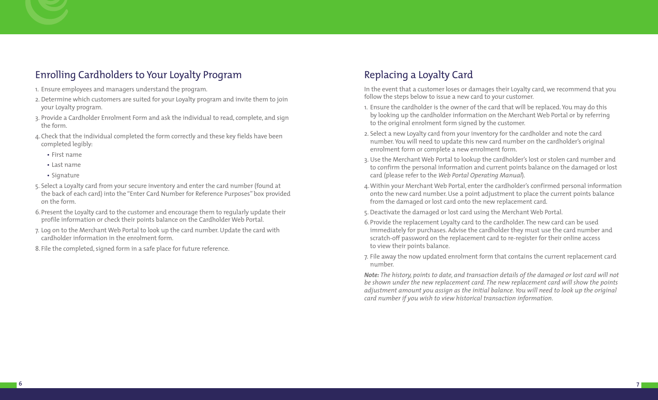## Enrolling Cardholders to Your Loyalty Program

- 1. Ensure employees and managers understand the program.
- 2. Determine which customers are suited for your Loyalty program and invite them to join your Loyalty program.
- 3. Provide a Cardholder Enrolment Form and ask the individual to read, complete, and sign the form.
- 4.Check that the individual completed the form correctly and these key fields have been completed legibly:
	- First name
	- Last name
	- Signature
- 5. Select a Loyalty card from your secure inventory and enter the card number (found at the back of each card) into the "Enter Card Number for Reference Purposes" box provided on the form.
- 6.Present the Loyalty card to the customer and encourage them to regularly update their profile information or check their points balance on the Cardholder Web Portal.
- 7. Log on to the Merchant Web Portal to look up the card number. Update the card with cardholder information in the enrolment form.
- 8. File the completed, signed form in a safe place for future reference.

## Replacing a Loyalty Card

In the event that a customer loses or damages their Loyalty card, we recommend that you follow the steps below to issue a new card to your customer.

- 1. Ensure the cardholder is the owner of the card that will be replaced. You may do this by looking up the cardholder information on the Merchant Web Portal or by referring to the original enrolment form signed by the customer.
- 2. Select a new Loyalty card from your inventory for the cardholder and note the card number. You will need to update this new card number on the cardholder's original enrolment form or complete a new enrolment form.
- 3. Use the Merchant Web Portal to lookup the cardholder's lost or stolen card number and to confirm the personal information and current points balance on the damaged or lost card (please refer to the *Web Portal Operating Manual*).
- 4.Within your Merchant Web Portal, enter the cardholder's confirmed personal information onto the new card number. Use a point adjustment to place the current points balance from the damaged or lost card onto the new replacement card.
- 5. Deactivate the damaged or lost card using the Merchant Web Portal.
- 6.Provide the replacement Loyalty card to the cardholder. The new card can be used immediately for purchases. Advise the cardholder they must use the card number and scratch-off password on the replacement card to re-register for their online access to view their points balance.
- 7. File away the now updated enrolment form that contains the current replacement card number.

*Note: The history, points to date, and transaction details of the damaged or lost card will not be shown under the new replacement card. The new replacement card will show the points adjustment amount you assign as the initial balance. You will need to look up the original card number if you wish to view historical transaction information.*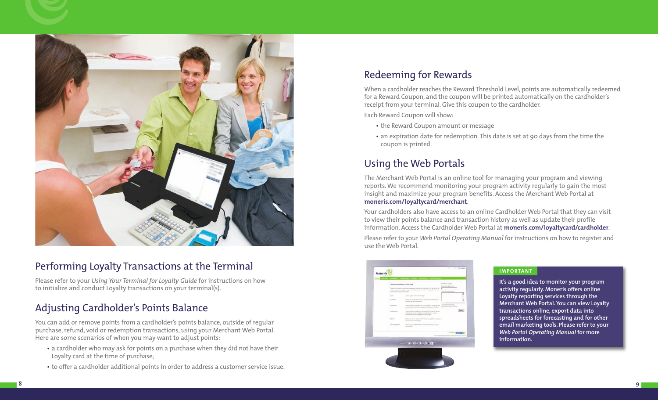

## Performing Loyalty Transactions at the Terminal

Please refer to your *Using Your Terminal for Loyalty Guide* for instructions on how to initialize and conduct Loyalty transactions on your terminal(s).

## Adjusting Cardholder's Points Balance

You can add or remove points from a cardholder's points balance, outside of regular purchase, refund, void or redemption transactions, using your Merchant Web Portal. Here are some scenarios of when you may want to adjust points:

- a cardholder who may ask for points on a purchase when they did not have their Loyalty card at the time of purchase;
- to offer a cardholder additional points in order to address a customer service issue.

## Redeeming for Rewards

When a cardholder reaches the Reward Threshold Level, points are automatically redeemed for a Reward Coupon, and the coupon will be printed automatically on the cardholder's receipt from your terminal. Give this coupon to the cardholder.

Each Reward Coupon will show:

- the Reward Coupon amount or message
- an expiration date for redemption. This date is set at 90 days from the time the coupon is printed.

## Using the Web Portals

The Merchant Web Portal is an online tool for managing your program and viewing reports. We recommend monitoring your program activity regularly to gain the most insight and maximize your program benefits. Access the Merchant Web Portal at **moneris.com/loyaltycard/merchant**.

Your cardholders also have access to an online Cardholder Web Portal that they can visit to view their points balance and transaction history as well as update their profile information. Access the Cardholder Web Portal at **moneris.com/loyaltycard/cardholder**.

Please refer to your *Web Portal Operating Manual* for instructions on how to register and use the Web Portal.



#### **I M P O RTA N T**

**It's a good idea to monitor your program activity regularly. Moneris offers online Loyalty reporting services through the Merchant Web Portal. You can view Loyalty transactions online, export data into spreadsheets for forecasting and for other email marketing tools. Please refer to your** *Web Portal Operating Manual* **for more information.**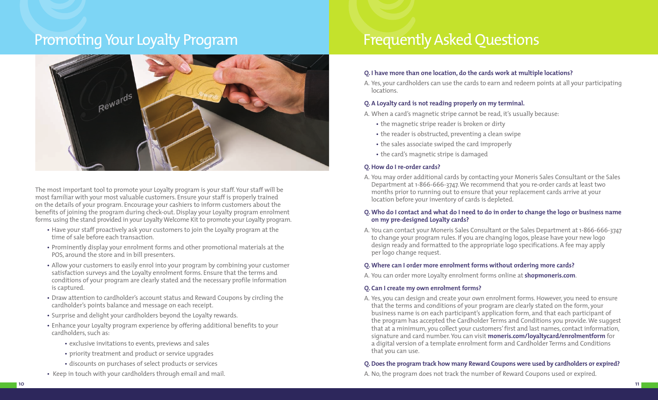## Promoting Your Loyalty Program Frequently Asked Questions



The most important tool to promote your Loyalty program is your staff. Your staff will be most familiar with your most valuable customers. Ensure your staff is properly trained on the details of your program. Encourage your cashiers to inform customers about the benefits of joining the program during check-out. Display your Loyalty program enrolment forms using the stand provided in your Loyalty Welcome Kit to promote your Loyalty program.

- Have your staff proactively ask your customers to join the Loyalty program at the time of sale before each transaction.
- Prominently display your enrolment forms and other promotional materials at the POS, around the store and in bill presenters.
- Allow your customers to easily enrol into your program by combining your customer satisfaction surveys and the Loyalty enrolment forms. Ensure that the terms and conditions of your program are clearly stated and the necessary profile information is captured.
- Draw attention to cardholder's account status and Reward Coupons by circling the cardholder's points balance and message on each receipt.
- Surprise and delight your cardholders beyond the Loyalty rewards.
- Enhance your Loyalty program experience by offering additional benefits to your cardholders, such as:
	- exclusive invitations to events, previews and sales
	- priority treatment and product or service upgrades
	- discounts on purchases of select products or services
- Keep in touch with your cardholders through email and mail.

## **Q. I have more than one location, do the cards work at multiple locations?**

A. Yes, your cardholders can use the cards to earn and redeem points at all your participating locations.

## **Q. A Loyalty card is not reading properly on my terminal.**

A. When a card's magnetic stripe cannot be read, it's usually because:

- the magnetic stripe reader is broken or dirty
- the reader is obstructed, preventing a clean swipe
- the sales associate swiped the card improperly
- the card's magnetic stripe is damaged

## **Q. How do I re-order cards?**

A. You may order additional cards by contacting your Moneris Sales Consultant or the Sales Department at 1-866-666-3747. We recommend that you re-order cards at least two months prior to running out to ensure that your replacement cards arrive at your location before your inventory of cards is depleted.

#### **Q. Who do I contact and what do I need to do in order to change the logo or business name on my pre-designed Loyalty cards?**

A. You can contact your Moneris Sales Consultant or the Sales Department at 1-866-666-3747 to change your program rules. If you are changing logos, please have your new logo design ready and formatted to the appropriate logo specifications. A fee may apply per logo change request.

## **Q. Where can I order more enrolment forms without ordering more cards?**

A. You can order more Loyalty enrolment forms online at **shopmoneris.com**.

## **Q. Can I create my own enrolment forms?**

A. Yes, you can design and create your own enrolment forms. However, you need to ensure that the terms and conditions of your program are clearly stated on the form, your business name is on each participant's application form, and that each participant of the program has accepted the Cardholder Terms and Conditions you provide. We suggest that at a minimum, you collect your customers' first and last names, contact information, signature and card number. You can visit **moneris.com/loyaltycard/enrolmentform** for a digital version of a template enrolment form and Cardholder Terms and Conditions that you can use.

## **Q. Does the program track how many Reward Coupons were used by cardholders or expired?**

A. No, the program does not track the number of Reward Coupons used or expired.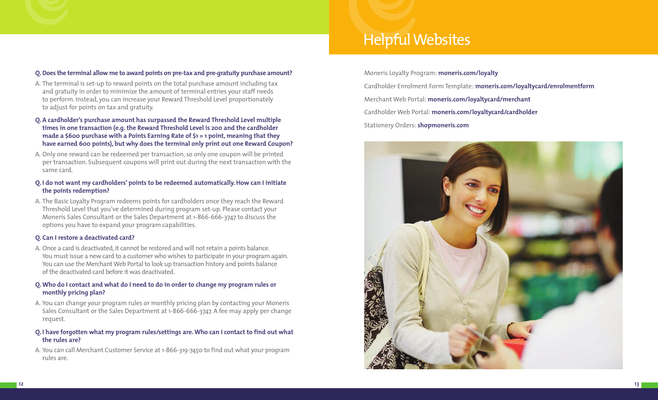

#### **Q. Does the terminal allow me to award points on pre-tax and pre-gratuity purchase amount?**

- A. The terminal is set-up to reward points on the total purchase amount including tax and gratuity in order to minimize the amount of terminal entries your staff needs to perform. Instead, you can increase your Reward Threshold Level proportionately to adjust for points on tax and gratuity.
- **Q. A cardholder's purchase amount has surpassed the Reward Threshold Level multiple times in one transaction (e.g. the Reward Threshold Level is 200 and the cardholder made a \$600 purchase with a Points Earning Rate of \$1 = 1 point, meaning that they have earned 600 points), but why does the terminal only print out one Reward Coupon?**
- A. Only one reward can be redeemed per transaction, so only one coupon will be printed per transaction. Subsequent coupons will print out during the next transaction with the same card.
- **Q. I do not want my cardholders' points to be redeemed automatically. How can I initiate the points redemption?**
- A. The Basic Loyalty Program redeems points for cardholders once they reach the Reward Threshold Level that you've determined during program set-up. Please contact your Moneris Sales Consultant or the Sales Department at 1-866-666-3747 to discuss the options you have to expand your program capabilities.

#### **Q. Can I restore a deactivated card?**

A. Once a card is deactivated, it cannot be restored and will not retain a points balance. You must issue a new card to a customer who wishes to participate in your program again. You can use the Merchant Web Portal to look up transaction history and points balance of the deactivated card before it was deactivated.

#### **Q. Who do I contact and what do I need to do in order to change my program rules or monthly pricing plan?**

- A. You can change your program rules or monthly pricing plan by contacting your Moneris Sales Consultant or the Sales Department at 1-866-666-3747. A fee may apply per change request.
- **Q. I have forgotten what my program rules/settings are. Who can I contact to find out what the rules are?**
- A. You can call Merchant Customer Service at 1-866-319-7450 to find out what your program rules are.

Moneris Loyalty Program: **moneris.com/loyalty** Cardholder Enrolment Form Template: **moneris.com/loyaltycard/enrolmentform** Merchant Web Portal: **moneris.com/loyaltycard/merchant** Cardholder Web Portal: **moneris.com/loyaltycard/cardholder** Stationery Orders: **shopmoneris.com**